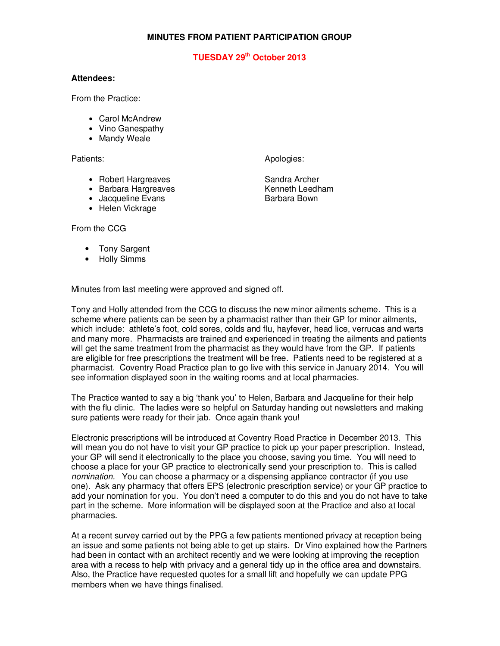## **MINUTES FROM PATIENT PARTICIPATION GROUP**

## **TUESDAY 29th October 2013**

## **Attendees:**

From the Practice:

- Carol McAndrew
- Vino Ganespathy
- Mandy Weale

Patients: Apologies: Apologies: Apologies: Apologies: Apologies: Apologies: Apologies: Apologies: Apologies: Apologies: Apologies: Apologies: Apologies: Apologies: Apologies: Apologies: Apologies: Apologies: Apologies: Apo

- Robert Hargreaves Sandra Archer
- Barbara Hargreaves
- Jacqueline Evans **Barbara Bown**
- Helen Vickrage

From the CCG

- Tony Sargent
- Holly Simms

Minutes from last meeting were approved and signed off.

Tony and Holly attended from the CCG to discuss the new minor ailments scheme. This is a scheme where patients can be seen by a pharmacist rather than their GP for minor ailments, which include: athlete's foot, cold sores, colds and flu, hayfever, head lice, verrucas and warts and many more. Pharmacists are trained and experienced in treating the ailments and patients will get the same treatment from the pharmacist as they would have from the GP. If patients are eligible for free prescriptions the treatment will be free. Patients need to be registered at a pharmacist. Coventry Road Practice plan to go live with this service in January 2014. You will see information displayed soon in the waiting rooms and at local pharmacies.

The Practice wanted to say a big 'thank you' to Helen, Barbara and Jacqueline for their help with the flu clinic. The ladies were so helpful on Saturday handing out newsletters and making sure patients were ready for their jab. Once again thank you!

Electronic prescriptions will be introduced at Coventry Road Practice in December 2013. This will mean you do not have to visit your GP practice to pick up your paper prescription. Instead, your GP will send it electronically to the place you choose, saving you time. You will need to choose a place for your GP practice to electronically send your prescription to. This is called nomination. You can choose a pharmacy or a dispensing appliance contractor (if you use one). Ask any pharmacy that offers EPS (electronic prescription service) or your GP practice to add your nomination for you. You don't need a computer to do this and you do not have to take part in the scheme. More information will be displayed soon at the Practice and also at local pharmacies.

At a recent survey carried out by the PPG a few patients mentioned privacy at reception being an issue and some patients not being able to get up stairs. Dr Vino explained how the Partners had been in contact with an architect recently and we were looking at improving the reception area with a recess to help with privacy and a general tidy up in the office area and downstairs. Also, the Practice have requested quotes for a small lift and hopefully we can update PPG members when we have things finalised.